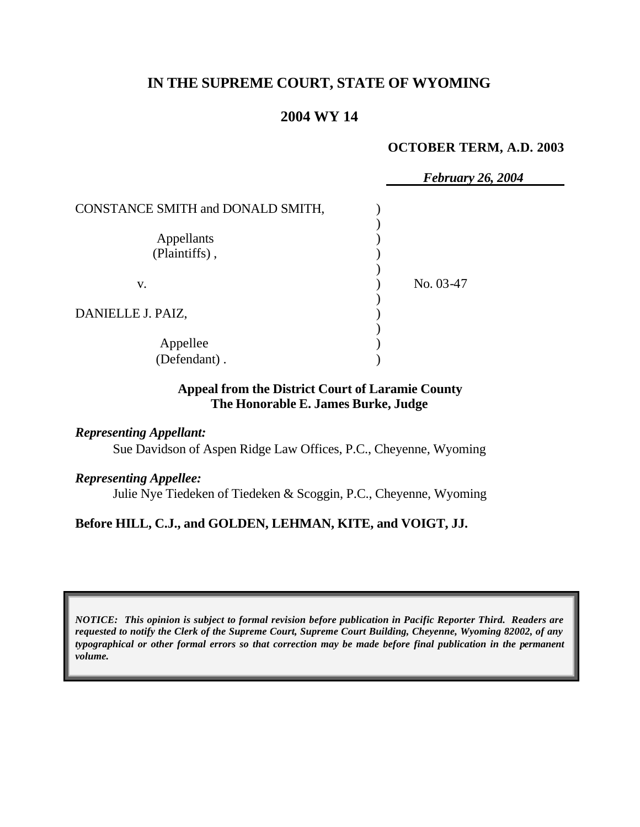# **IN THE SUPREME COURT, STATE OF WYOMING**

## **2004 WY 14**

#### **OCTOBER TERM, A.D. 2003**

*February 26, 2004*

| CONSTANCE SMITH and DONALD SMITH, |           |
|-----------------------------------|-----------|
| Appellants<br>(Plaintiffs),       |           |
| v.                                | No. 03-47 |
| DANIELLE J. PAIZ,                 |           |
| Appellee<br>(Defendant).          |           |

#### **Appeal from the District Court of Laramie County The Honorable E. James Burke, Judge**

#### *Representing Appellant:*

Sue Davidson of Aspen Ridge Law Offices, P.C., Cheyenne, Wyoming

## *Representing Appellee:*

Julie Nye Tiedeken of Tiedeken & Scoggin, P.C., Cheyenne, Wyoming

## **Before HILL, C.J., and GOLDEN, LEHMAN, KITE, and VOIGT, JJ.**

*NOTICE: This opinion is subject to formal revision before publication in Pacific Reporter Third. Readers are requested to notify the Clerk of the Supreme Court, Supreme Court Building, Cheyenne, Wyoming 82002, of any typographical or other formal errors so that correction may be made before final publication in the permanent volume.*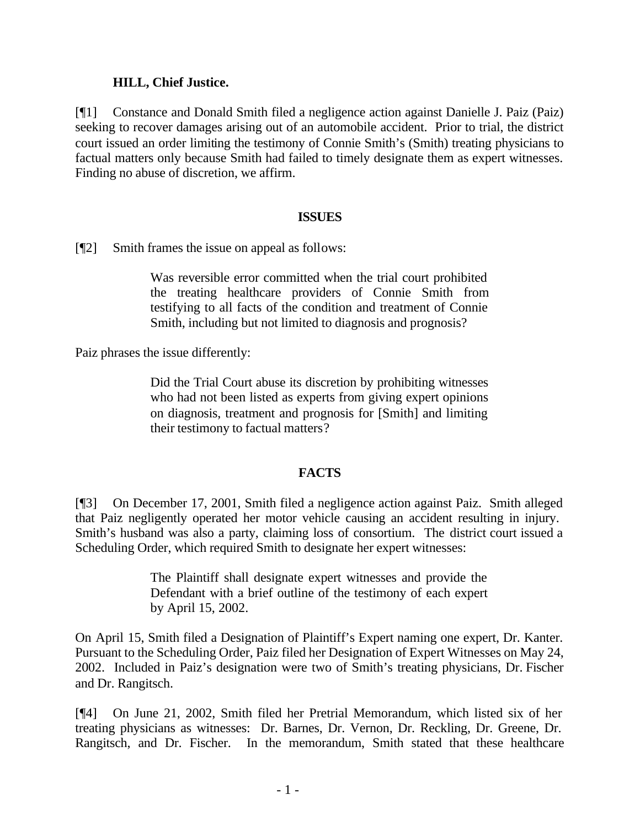## **HILL, Chief Justice.**

[¶1] Constance and Donald Smith filed a negligence action against Danielle J. Paiz (Paiz) seeking to recover damages arising out of an automobile accident. Prior to trial, the district court issued an order limiting the testimony of Connie Smith's (Smith) treating physicians to factual matters only because Smith had failed to timely designate them as expert witnesses. Finding no abuse of discretion, we affirm.

### **ISSUES**

[¶2] Smith frames the issue on appeal as follows:

Was reversible error committed when the trial court prohibited the treating healthcare providers of Connie Smith from testifying to all facts of the condition and treatment of Connie Smith, including but not limited to diagnosis and prognosis?

Paiz phrases the issue differently:

Did the Trial Court abuse its discretion by prohibiting witnesses who had not been listed as experts from giving expert opinions on diagnosis, treatment and prognosis for [Smith] and limiting their testimony to factual matters?

## **FACTS**

[¶3] On December 17, 2001, Smith filed a negligence action against Paiz. Smith alleged that Paiz negligently operated her motor vehicle causing an accident resulting in injury. Smith's husband was also a party, claiming loss of consortium. The district court issued a Scheduling Order, which required Smith to designate her expert witnesses:

> The Plaintiff shall designate expert witnesses and provide the Defendant with a brief outline of the testimony of each expert by April 15, 2002.

On April 15, Smith filed a Designation of Plaintiff's Expert naming one expert, Dr. Kanter. Pursuant to the Scheduling Order, Paiz filed her Designation of Expert Witnesses on May 24, 2002. Included in Paiz's designation were two of Smith's treating physicians, Dr. Fischer and Dr. Rangitsch.

[¶4] On June 21, 2002, Smith filed her Pretrial Memorandum, which listed six of her treating physicians as witnesses: Dr. Barnes, Dr. Vernon, Dr. Reckling, Dr. Greene, Dr. Rangitsch, and Dr. Fischer. In the memorandum, Smith stated that these healthcare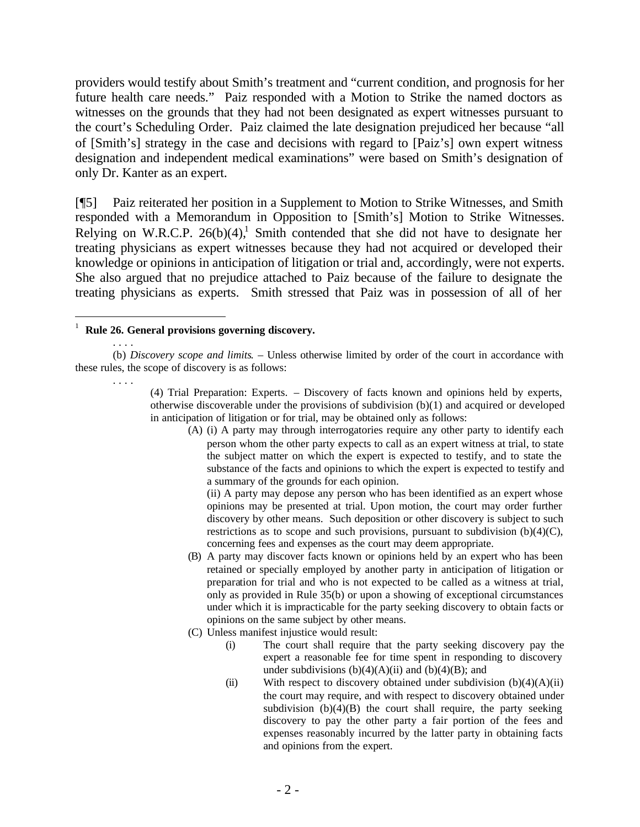providers would testify about Smith's treatment and "current condition, and prognosis for her future health care needs." Paiz responded with a Motion to Strike the named doctors as witnesses on the grounds that they had not been designated as expert witnesses pursuant to the court's Scheduling Order. Paiz claimed the late designation prejudiced her because "all of [Smith's] strategy in the case and decisions with regard to [Paiz's] own expert witness designation and independent medical examinations" were based on Smith's designation of only Dr. Kanter as an expert.

[¶5] Paiz reiterated her position in a Supplement to Motion to Strike Witnesses, and Smith responded with a Memorandum in Opposition to [Smith's] Motion to Strike Witnesses. Relying on W.R.C.P.  $26(b)(4)$ ,<sup>1</sup> Smith contended that she did not have to designate her treating physicians as expert witnesses because they had not acquired or developed their knowledge or opinions in anticipation of litigation or trial and, accordingly, were not experts. She also argued that no prejudice attached to Paiz because of the failure to designate the treating physicians as experts. Smith stressed that Paiz was in possession of all of her

. . . .

l

(A) (i) A party may through interrogatories require any other party to identify each person whom the other party expects to call as an expert witness at trial, to state the subject matter on which the expert is expected to testify, and to state the substance of the facts and opinions to which the expert is expected to testify and a summary of the grounds for each opinion.

(ii) A party may depose any person who has been identified as an expert whose opinions may be presented at trial. Upon motion, the court may order further discovery by other means. Such deposition or other discovery is subject to such restrictions as to scope and such provisions, pursuant to subdivision  $(b)(4)(C)$ , concerning fees and expenses as the court may deem appropriate.

- (B) A party may discover facts known or opinions held by an expert who has been retained or specially employed by another party in anticipation of litigation or preparation for trial and who is not expected to be called as a witness at trial, only as provided in Rule 35(b) or upon a showing of exceptional circumstances under which it is impracticable for the party seeking discovery to obtain facts or opinions on the same subject by other means.
- (C) Unless manifest injustice would result:
	- (i) The court shall require that the party seeking discovery pay the expert a reasonable fee for time spent in responding to discovery under subdivisions  $(b)(4)(A)(ii)$  and  $(b)(4)(B)$ ; and
	- (ii) With respect to discovery obtained under subdivision  $(b)(4)(A)(ii)$ the court may require, and with respect to discovery obtained under subdivision  $(b)(4)(B)$  the court shall require, the party seeking discovery to pay the other party a fair portion of the fees and expenses reasonably incurred by the latter party in obtaining facts and opinions from the expert.

<sup>1</sup> **Rule 26. General provisions governing discovery.**

<sup>. . . .</sup>

<sup>(</sup>b) *Discovery scope and limits*. – Unless otherwise limited by order of the court in accordance with these rules, the scope of discovery is as follows:

<sup>(4)</sup> Trial Preparation: Experts. – Discovery of facts known and opinions held by experts, otherwise discoverable under the provisions of subdivision  $(b)(1)$  and acquired or developed in anticipation of litigation or for trial, may be obtained only as follows: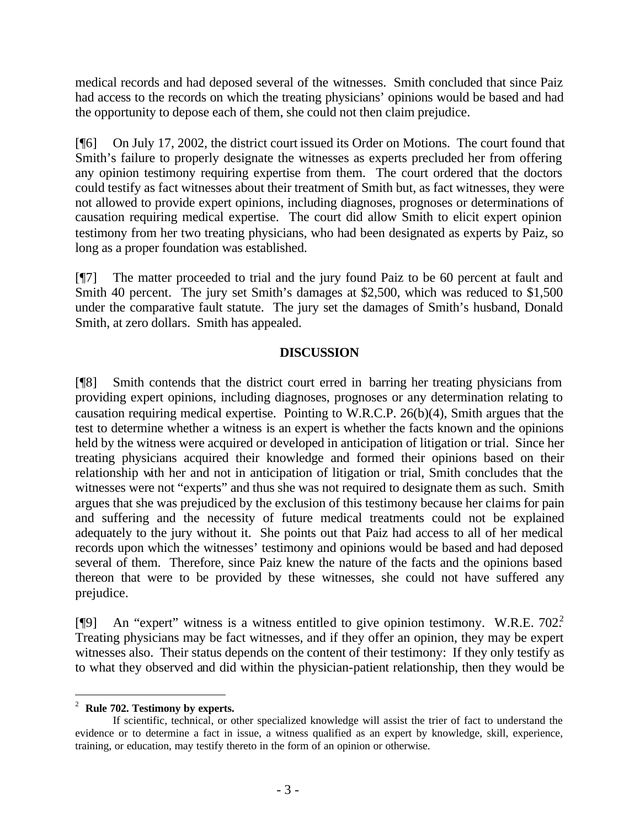medical records and had deposed several of the witnesses. Smith concluded that since Paiz had access to the records on which the treating physicians' opinions would be based and had the opportunity to depose each of them, she could not then claim prejudice.

[¶6] On July 17, 2002, the district court issued its Order on Motions. The court found that Smith's failure to properly designate the witnesses as experts precluded her from offering any opinion testimony requiring expertise from them. The court ordered that the doctors could testify as fact witnesses about their treatment of Smith but, as fact witnesses, they were not allowed to provide expert opinions, including diagnoses, prognoses or determinations of causation requiring medical expertise. The court did allow Smith to elicit expert opinion testimony from her two treating physicians, who had been designated as experts by Paiz, so long as a proper foundation was established.

[¶7] The matter proceeded to trial and the jury found Paiz to be 60 percent at fault and Smith 40 percent. The jury set Smith's damages at \$2,500, which was reduced to \$1,500 under the comparative fault statute. The jury set the damages of Smith's husband, Donald Smith, at zero dollars. Smith has appealed.

### **DISCUSSION**

[¶8] Smith contends that the district court erred in barring her treating physicians from providing expert opinions, including diagnoses, prognoses or any determination relating to causation requiring medical expertise. Pointing to W.R.C.P. 26(b)(4), Smith argues that the test to determine whether a witness is an expert is whether the facts known and the opinions held by the witness were acquired or developed in anticipation of litigation or trial. Since her treating physicians acquired their knowledge and formed their opinions based on their relationship with her and not in anticipation of litigation or trial, Smith concludes that the witnesses were not "experts" and thus she was not required to designate them as such. Smith argues that she was prejudiced by the exclusion of this testimony because her claims for pain and suffering and the necessity of future medical treatments could not be explained adequately to the jury without it. She points out that Paiz had access to all of her medical records upon which the witnesses' testimony and opinions would be based and had deposed several of them. Therefore, since Paiz knew the nature of the facts and the opinions based thereon that were to be provided by these witnesses, she could not have suffered any prejudice.

[ $[$ [9] An "expert" witness is a witness entitled to give opinion testimony. W.R.E.  $702$ <sup>2</sup> Treating physicians may be fact witnesses, and if they offer an opinion, they may be expert witnesses also. Their status depends on the content of their testimony: If they only testify as to what they observed and did within the physician-patient relationship, then they would be

l

<sup>2</sup> **Rule 702. Testimony by experts.**

If scientific, technical, or other specialized knowledge will assist the trier of fact to understand the evidence or to determine a fact in issue, a witness qualified as an expert by knowledge, skill, experience, training, or education, may testify thereto in the form of an opinion or otherwise.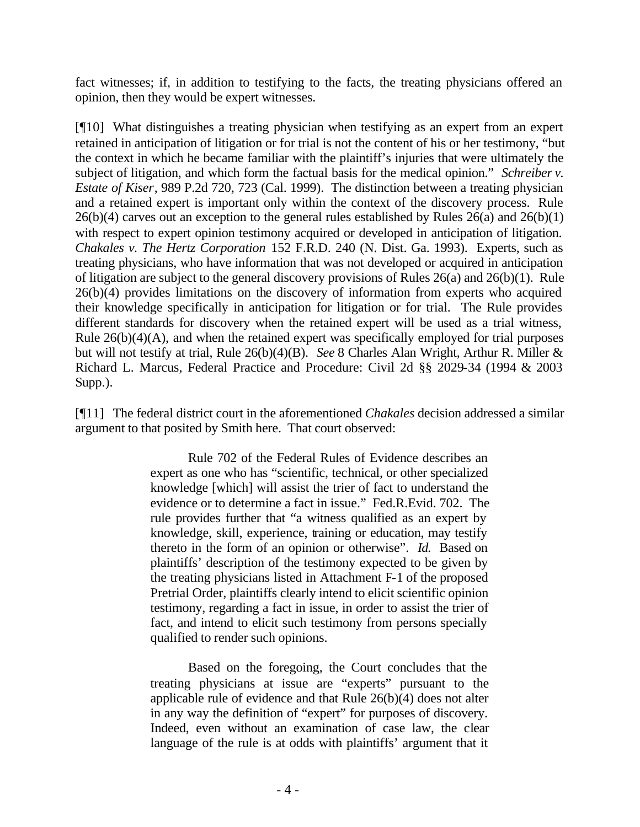fact witnesses; if, in addition to testifying to the facts, the treating physicians offered an opinion, then they would be expert witnesses.

[¶10] What distinguishes a treating physician when testifying as an expert from an expert retained in anticipation of litigation or for trial is not the content of his or her testimony, "but the context in which he became familiar with the plaintiff's injuries that were ultimately the subject of litigation, and which form the factual basis for the medical opinion." *Schreiber v. Estate of Kiser*, 989 P.2d 720, 723 (Cal. 1999). The distinction between a treating physician and a retained expert is important only within the context of the discovery process. Rule  $26(b)(4)$  carves out an exception to the general rules established by Rules  $26(a)$  and  $26(b)(1)$ with respect to expert opinion testimony acquired or developed in anticipation of litigation. *Chakales v. The Hertz Corporation* 152 F.R.D. 240 (N. Dist. Ga. 1993). Experts, such as treating physicians, who have information that was not developed or acquired in anticipation of litigation are subject to the general discovery provisions of Rules 26(a) and 26(b)(1). Rule 26(b)(4) provides limitations on the discovery of information from experts who acquired their knowledge specifically in anticipation for litigation or for trial. The Rule provides different standards for discovery when the retained expert will be used as a trial witness, Rule  $26(b)(4)(A)$ , and when the retained expert was specifically employed for trial purposes but will not testify at trial, Rule 26(b)(4)(B). *See* 8 Charles Alan Wright, Arthur R. Miller & Richard L. Marcus, Federal Practice and Procedure: Civil 2d §§ 2029-34 (1994 & 2003 Supp.).

[¶11] The federal district court in the aforementioned *Chakales* decision addressed a similar argument to that posited by Smith here. That court observed:

> Rule 702 of the Federal Rules of Evidence describes an expert as one who has "scientific, technical, or other specialized knowledge [which] will assist the trier of fact to understand the evidence or to determine a fact in issue." Fed.R.Evid. 702. The rule provides further that "a witness qualified as an expert by knowledge, skill, experience, training or education, may testify thereto in the form of an opinion or otherwise". *Id.* Based on plaintiffs' description of the testimony expected to be given by the treating physicians listed in Attachment F-1 of the proposed Pretrial Order, plaintiffs clearly intend to elicit scientific opinion testimony, regarding a fact in issue, in order to assist the trier of fact, and intend to elicit such testimony from persons specially qualified to render such opinions.

> Based on the foregoing, the Court concludes that the treating physicians at issue are "experts" pursuant to the applicable rule of evidence and that Rule 26(b)(4) does not alter in any way the definition of "expert" for purposes of discovery. Indeed, even without an examination of case law, the clear language of the rule is at odds with plaintiffs' argument that it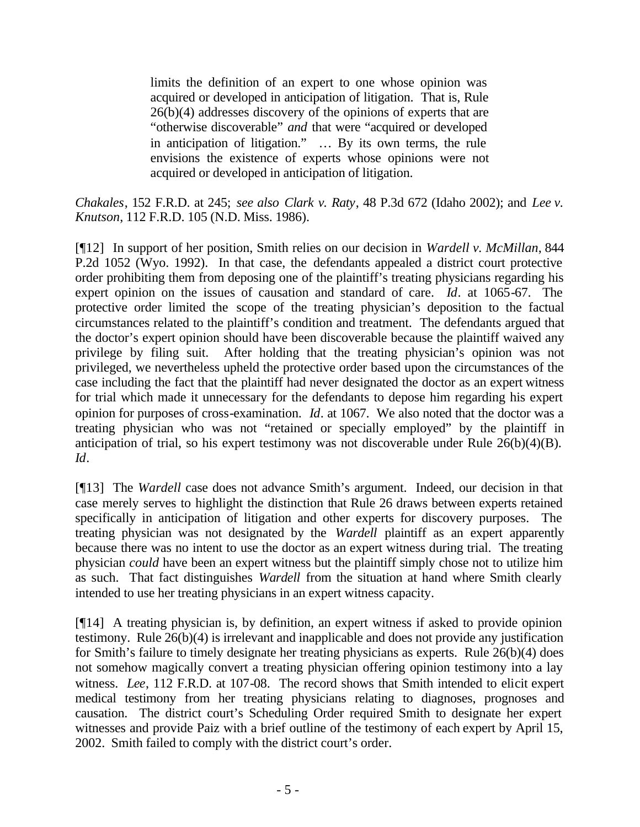limits the definition of an expert to one whose opinion was acquired or developed in anticipation of litigation. That is, Rule 26(b)(4) addresses discovery of the opinions of experts that are "otherwise discoverable" *and* that were "acquired or developed in anticipation of litigation." … By its own terms, the rule envisions the existence of experts whose opinions were not acquired or developed in anticipation of litigation.

*Chakales*, 152 F.R.D. at 245; *see also Clark v. Raty*, 48 P.3d 672 (Idaho 2002); and *Lee v. Knutson*, 112 F.R.D. 105 (N.D. Miss. 1986).

[¶12] In support of her position, Smith relies on our decision in *Wardell v. McMillan*, 844 P.2d 1052 (Wyo. 1992). In that case, the defendants appealed a district court protective order prohibiting them from deposing one of the plaintiff's treating physicians regarding his expert opinion on the issues of causation and standard of care. *Id*. at 1065-67. The protective order limited the scope of the treating physician's deposition to the factual circumstances related to the plaintiff's condition and treatment. The defendants argued that the doctor's expert opinion should have been discoverable because the plaintiff waived any privilege by filing suit. After holding that the treating physician's opinion was not privileged, we nevertheless upheld the protective order based upon the circumstances of the case including the fact that the plaintiff had never designated the doctor as an expert witness for trial which made it unnecessary for the defendants to depose him regarding his expert opinion for purposes of cross-examination. *Id*. at 1067. We also noted that the doctor was a treating physician who was not "retained or specially employed" by the plaintiff in anticipation of trial, so his expert testimony was not discoverable under Rule 26(b)(4)(B). *Id*.

[¶13] The *Wardell* case does not advance Smith's argument. Indeed, our decision in that case merely serves to highlight the distinction that Rule 26 draws between experts retained specifically in anticipation of litigation and other experts for discovery purposes. The treating physician was not designated by the *Wardell* plaintiff as an expert apparently because there was no intent to use the doctor as an expert witness during trial. The treating physician *could* have been an expert witness but the plaintiff simply chose not to utilize him as such. That fact distinguishes *Wardell* from the situation at hand where Smith clearly intended to use her treating physicians in an expert witness capacity.

[¶14] A treating physician is, by definition, an expert witness if asked to provide opinion testimony. Rule 26(b)(4) is irrelevant and inapplicable and does not provide any justification for Smith's failure to timely designate her treating physicians as experts. Rule 26(b)(4) does not somehow magically convert a treating physician offering opinion testimony into a lay witness. *Lee*, 112 F.R.D. at 107-08. The record shows that Smith intended to elicit expert medical testimony from her treating physicians relating to diagnoses, prognoses and causation. The district court's Scheduling Order required Smith to designate her expert witnesses and provide Paiz with a brief outline of the testimony of each expert by April 15, 2002. Smith failed to comply with the district court's order.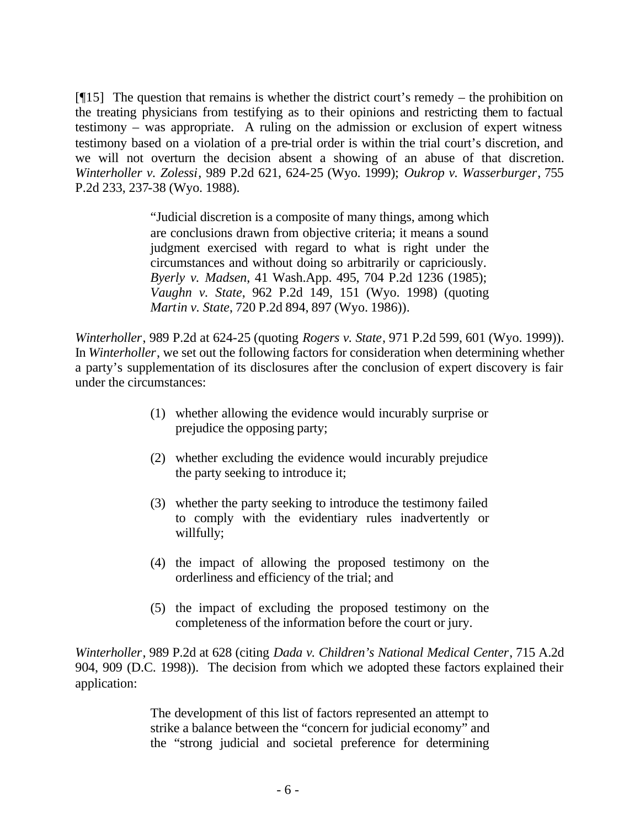[ $[15]$ ] The question that remains is whether the district court's remedy – the prohibition on the treating physicians from testifying as to their opinions and restricting them to factual testimony – was appropriate. A ruling on the admission or exclusion of expert witness testimony based on a violation of a pre-trial order is within the trial court's discretion, and we will not overturn the decision absent a showing of an abuse of that discretion. *Winterholler v. Zolessi*, 989 P.2d 621, 624-25 (Wyo. 1999); *Oukrop v. Wasserburger*, 755 P.2d 233, 237-38 (Wyo. 1988).

> "Judicial discretion is a composite of many things, among which are conclusions drawn from objective criteria; it means a sound judgment exercised with regard to what is right under the circumstances and without doing so arbitrarily or capriciously. *Byerly v. Madsen*, 41 Wash.App. 495, 704 P.2d 1236 (1985); *Vaughn v. State*, 962 P.2d 149, 151 (Wyo. 1998) (quoting *Martin v. State*, 720 P.2d 894, 897 (Wyo. 1986)).

*Winterholler*, 989 P.2d at 624-25 (quoting *Rogers v. State*, 971 P.2d 599, 601 (Wyo. 1999)). In *Winterholler*, we set out the following factors for consideration when determining whether a party's supplementation of its disclosures after the conclusion of expert discovery is fair under the circumstances:

- (1) whether allowing the evidence would incurably surprise or prejudice the opposing party;
- (2) whether excluding the evidence would incurably prejudice the party seeking to introduce it;
- (3) whether the party seeking to introduce the testimony failed to comply with the evidentiary rules inadvertently or willfully;
- (4) the impact of allowing the proposed testimony on the orderliness and efficiency of the trial; and
- (5) the impact of excluding the proposed testimony on the completeness of the information before the court or jury.

*Winterholler*, 989 P.2d at 628 (citing *Dada v. Children's National Medical Center*, 715 A.2d 904, 909 (D.C. 1998)). The decision from which we adopted these factors explained their application:

> The development of this list of factors represented an attempt to strike a balance between the "concern for judicial economy" and the "strong judicial and societal preference for determining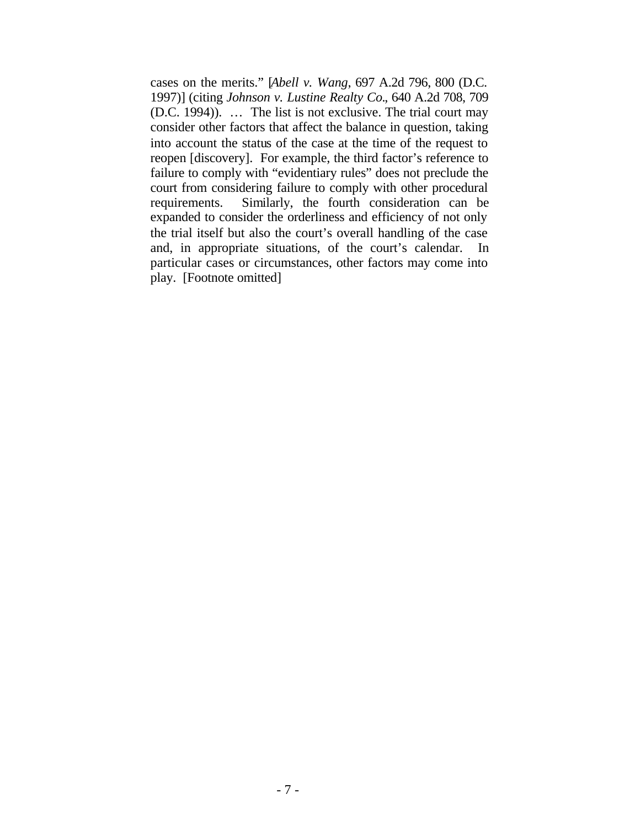cases on the merits." [*Abell v. Wang*, 697 A.2d 796, 800 (D.C. 1997)] (citing *Johnson v. Lustine Realty Co.*, 640 A.2d 708, 709 (D.C. 1994)). … The list is not exclusive. The trial court may consider other factors that affect the balance in question, taking into account the status of the case at the time of the request to reopen [discovery]. For example, the third factor's reference to failure to comply with "evidentiary rules" does not preclude the court from considering failure to comply with other procedural requirements. Similarly, the fourth consideration can be expanded to consider the orderliness and efficiency of not only the trial itself but also the court's overall handling of the case and, in appropriate situations, of the court's calendar. In particular cases or circumstances, other factors may come into play. [Footnote omitted]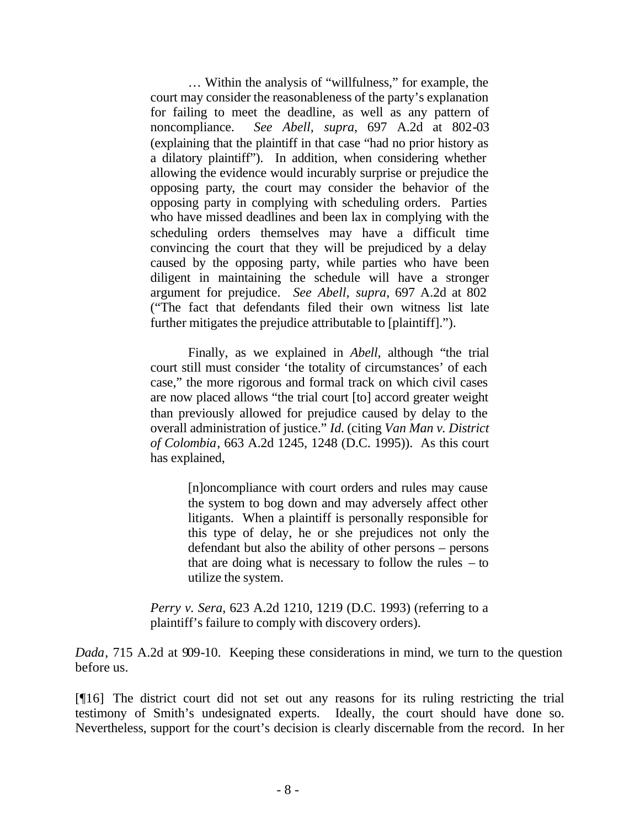… Within the analysis of "willfulness," for example, the court may consider the reasonableness of the party's explanation for failing to meet the deadline, as well as any pattern of noncompliance. *See Abell, supra*, 697 A.2d at 802-03 (explaining that the plaintiff in that case "had no prior history as a dilatory plaintiff"). In addition, when considering whether allowing the evidence would incurably surprise or prejudice the opposing party, the court may consider the behavior of the opposing party in complying with scheduling orders. Parties who have missed deadlines and been lax in complying with the scheduling orders themselves may have a difficult time convincing the court that they will be prejudiced by a delay caused by the opposing party, while parties who have been diligent in maintaining the schedule will have a stronger argument for prejudice. *See Abell, supra*, 697 A.2d at 802 ("The fact that defendants filed their own witness list late further mitigates the prejudice attributable to [plaintiff].").

Finally, as we explained in *Abell*, although "the trial court still must consider 'the totality of circumstances' of each case," the more rigorous and formal track on which civil cases are now placed allows "the trial court [to] accord greater weight than previously allowed for prejudice caused by delay to the overall administration of justice." *Id.* (citing *Van Man v. District of Colombia*, 663 A.2d 1245, 1248 (D.C. 1995)). As this court has explained,

> [n]oncompliance with court orders and rules may cause the system to bog down and may adversely affect other litigants. When a plaintiff is personally responsible for this type of delay, he or she prejudices not only the defendant but also the ability of other persons – persons that are doing what is necessary to follow the rules  $-$  to utilize the system.

*Perry v. Sera*, 623 A.2d 1210, 1219 (D.C. 1993) (referring to a plaintiff's failure to comply with discovery orders).

*Dada*, 715 A.2d at 909-10. Keeping these considerations in mind, we turn to the question before us.

[¶16] The district court did not set out any reasons for its ruling restricting the trial testimony of Smith's undesignated experts. Ideally, the court should have done so. Nevertheless, support for the court's decision is clearly discernable from the record. In her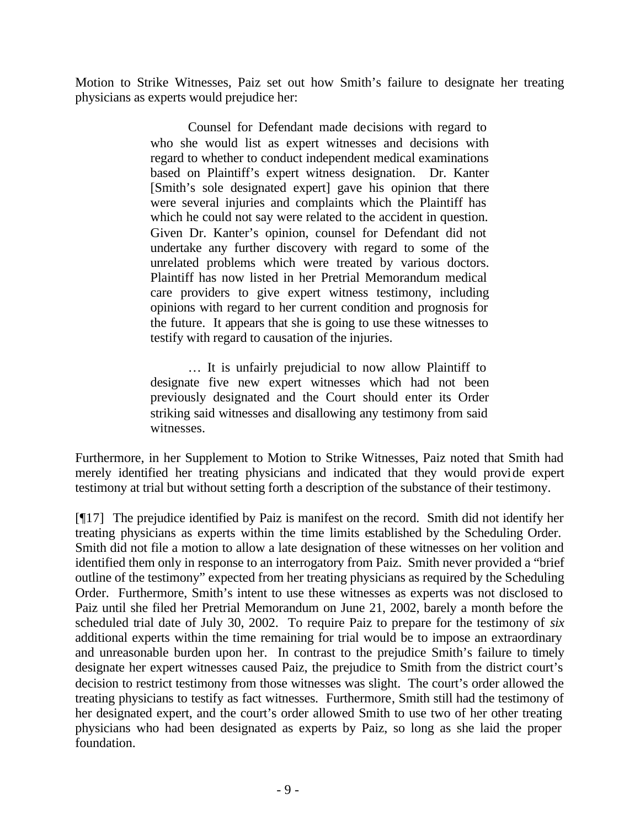Motion to Strike Witnesses, Paiz set out how Smith's failure to designate her treating physicians as experts would prejudice her:

> Counsel for Defendant made decisions with regard to who she would list as expert witnesses and decisions with regard to whether to conduct independent medical examinations based on Plaintiff's expert witness designation. Dr. Kanter [Smith's sole designated expert] gave his opinion that there were several injuries and complaints which the Plaintiff has which he could not say were related to the accident in question. Given Dr. Kanter's opinion, counsel for Defendant did not undertake any further discovery with regard to some of the unrelated problems which were treated by various doctors. Plaintiff has now listed in her Pretrial Memorandum medical care providers to give expert witness testimony, including opinions with regard to her current condition and prognosis for the future. It appears that she is going to use these witnesses to testify with regard to causation of the injuries.

> … It is unfairly prejudicial to now allow Plaintiff to designate five new expert witnesses which had not been previously designated and the Court should enter its Order striking said witnesses and disallowing any testimony from said witnesses.

Furthermore, in her Supplement to Motion to Strike Witnesses, Paiz noted that Smith had merely identified her treating physicians and indicated that they would provide expert testimony at trial but without setting forth a description of the substance of their testimony.

[¶17] The prejudice identified by Paiz is manifest on the record. Smith did not identify her treating physicians as experts within the time limits established by the Scheduling Order. Smith did not file a motion to allow a late designation of these witnesses on her volition and identified them only in response to an interrogatory from Paiz. Smith never provided a "brief outline of the testimony" expected from her treating physicians as required by the Scheduling Order. Furthermore, Smith's intent to use these witnesses as experts was not disclosed to Paiz until she filed her Pretrial Memorandum on June 21, 2002, barely a month before the scheduled trial date of July 30, 2002. To require Paiz to prepare for the testimony of *six* additional experts within the time remaining for trial would be to impose an extraordinary and unreasonable burden upon her. In contrast to the prejudice Smith's failure to timely designate her expert witnesses caused Paiz, the prejudice to Smith from the district court's decision to restrict testimony from those witnesses was slight. The court's order allowed the treating physicians to testify as fact witnesses. Furthermore, Smith still had the testimony of her designated expert, and the court's order allowed Smith to use two of her other treating physicians who had been designated as experts by Paiz, so long as she laid the proper foundation.